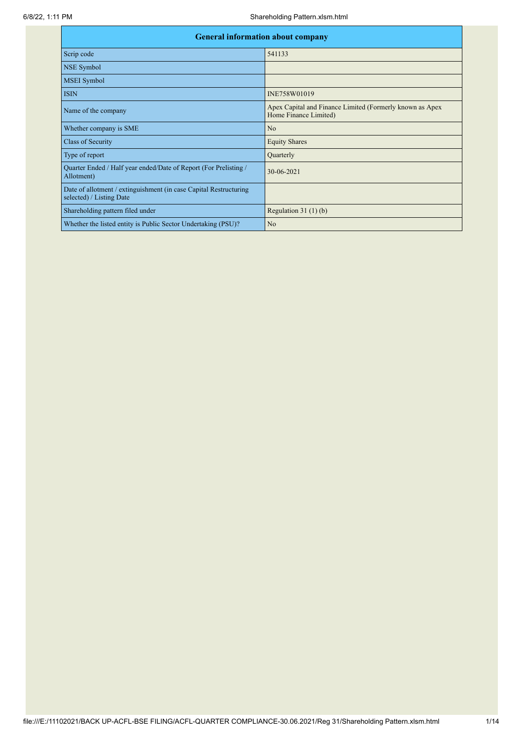| <b>General information about company</b>                                                      |                                                                                   |  |  |  |  |  |  |  |
|-----------------------------------------------------------------------------------------------|-----------------------------------------------------------------------------------|--|--|--|--|--|--|--|
| Scrip code                                                                                    | 541133                                                                            |  |  |  |  |  |  |  |
| NSE Symbol                                                                                    |                                                                                   |  |  |  |  |  |  |  |
| <b>MSEI</b> Symbol                                                                            |                                                                                   |  |  |  |  |  |  |  |
| <b>ISIN</b>                                                                                   | INE758W01019                                                                      |  |  |  |  |  |  |  |
| Name of the company                                                                           | Apex Capital and Finance Limited (Formerly known as Apex<br>Home Finance Limited) |  |  |  |  |  |  |  |
| Whether company is SME                                                                        | N <sub>o</sub>                                                                    |  |  |  |  |  |  |  |
| <b>Class of Security</b>                                                                      | <b>Equity Shares</b>                                                              |  |  |  |  |  |  |  |
| Type of report                                                                                | Quarterly                                                                         |  |  |  |  |  |  |  |
| Quarter Ended / Half year ended/Date of Report (For Prelisting /<br>Allotment)                | 30-06-2021                                                                        |  |  |  |  |  |  |  |
| Date of allotment / extinguishment (in case Capital Restructuring<br>selected) / Listing Date |                                                                                   |  |  |  |  |  |  |  |
| Shareholding pattern filed under                                                              | Regulation $31(1)(b)$                                                             |  |  |  |  |  |  |  |
| Whether the listed entity is Public Sector Undertaking (PSU)?                                 | N <sub>o</sub>                                                                    |  |  |  |  |  |  |  |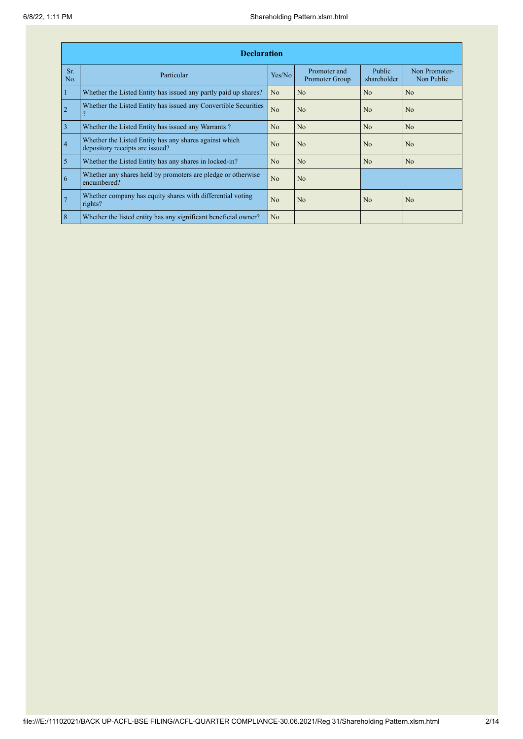|                | <b>Declaration</b>                                                                        |                |                                |                       |                             |  |  |  |  |  |  |  |
|----------------|-------------------------------------------------------------------------------------------|----------------|--------------------------------|-----------------------|-----------------------------|--|--|--|--|--|--|--|
| Sr.<br>No.     | Particular                                                                                | Yes/No         | Promoter and<br>Promoter Group | Public<br>shareholder | Non Promoter-<br>Non Public |  |  |  |  |  |  |  |
| $\mathbf{1}$   | Whether the Listed Entity has issued any partly paid up shares?                           | N <sub>o</sub> | N <sub>o</sub>                 | N <sub>o</sub>        | N <sub>o</sub>              |  |  |  |  |  |  |  |
| $\overline{2}$ | Whether the Listed Entity has issued any Convertible Securities                           | No             | N <sub>o</sub>                 | N <sub>0</sub>        | No                          |  |  |  |  |  |  |  |
| $\overline{3}$ | Whether the Listed Entity has issued any Warrants?                                        | N <sub>o</sub> | N <sub>o</sub>                 | N <sub>o</sub>        | N <sub>o</sub>              |  |  |  |  |  |  |  |
| $\overline{4}$ | Whether the Listed Entity has any shares against which<br>depository receipts are issued? | N <sub>0</sub> | N <sub>o</sub>                 | N <sub>0</sub>        | N <sub>0</sub>              |  |  |  |  |  |  |  |
| $\overline{5}$ | Whether the Listed Entity has any shares in locked-in?                                    | No             | No                             | No                    | N <sub>o</sub>              |  |  |  |  |  |  |  |
| 6              | Whether any shares held by promoters are pledge or otherwise<br>encumbered?               | No             | N <sub>o</sub>                 |                       |                             |  |  |  |  |  |  |  |
| 7              | Whether company has equity shares with differential voting<br>rights?                     | No             | No                             | No                    | N <sub>o</sub>              |  |  |  |  |  |  |  |
| 8              | Whether the listed entity has any significant beneficial owner?                           | N <sub>o</sub> |                                |                       |                             |  |  |  |  |  |  |  |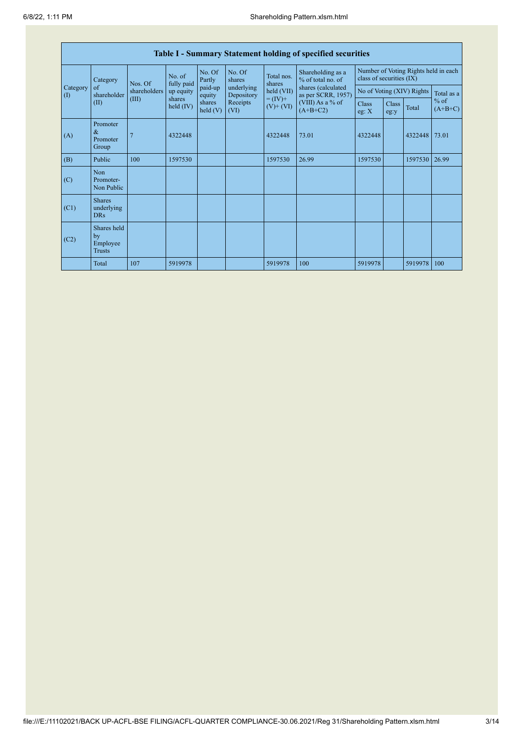|                                        | Table I - Summary Statement holding of specified securities |                                                      |                       |                                                     |                          |                                                                    |                                          |                                                                  |               |                           |                     |  |
|----------------------------------------|-------------------------------------------------------------|------------------------------------------------------|-----------------------|-----------------------------------------------------|--------------------------|--------------------------------------------------------------------|------------------------------------------|------------------------------------------------------------------|---------------|---------------------------|---------------------|--|
|                                        | Category                                                    | No. of<br>Nos. Of<br>shareholders<br>(III)<br>shares |                       | No. Of<br>Partly<br>fully paid<br>paid-up<br>equity | No. Of<br>shares         | Total nos.<br>shares<br>held (VII)<br>$= (IV) +$<br>$(V)$ + $(VI)$ | Shareholding as a<br>% of total no. of   | Number of Voting Rights held in each<br>class of securities (IX) |               |                           |                     |  |
| Category<br>$\left( \mathrm{I}\right)$ | $\sigma$<br>shareholder                                     |                                                      | up equity             |                                                     | underlying<br>Depository |                                                                    | shares (calculated<br>as per SCRR, 1957) |                                                                  |               | No of Voting (XIV) Rights | Total as a          |  |
|                                        | (II)                                                        |                                                      | shares<br>held $(IV)$ | $\text{held}$ (V)                                   | Receipts<br>(VI)         |                                                                    | (VIII) As a % of<br>$(A+B+C2)$           | <b>Class</b><br>eg: X                                            | Class<br>eg:y | Total                     | $%$ of<br>$(A+B+C)$ |  |
| (A)                                    | Promoter<br>$\&$<br>Promoter<br>Group                       |                                                      | 4322448               |                                                     |                          | 4322448                                                            | 73.01                                    | 4322448                                                          |               | 4322448                   | 73.01               |  |
| (B)                                    | Public                                                      | 100                                                  | 1597530               |                                                     |                          | 1597530                                                            | 26.99                                    | 1597530                                                          |               | 1597530                   | 26.99               |  |
| (C)                                    | Non<br>Promoter-<br>Non Public                              |                                                      |                       |                                                     |                          |                                                                    |                                          |                                                                  |               |                           |                     |  |
| (C1)                                   | <b>Shares</b><br>underlying<br><b>DRs</b>                   |                                                      |                       |                                                     |                          |                                                                    |                                          |                                                                  |               |                           |                     |  |
| (C2)                                   | Shares held<br>by<br>Employee<br><b>Trusts</b>              |                                                      |                       |                                                     |                          |                                                                    |                                          |                                                                  |               |                           |                     |  |
|                                        | Total                                                       | 107                                                  | 5919978               |                                                     |                          | 5919978                                                            | 100                                      | 5919978                                                          |               | 5919978                   | 100                 |  |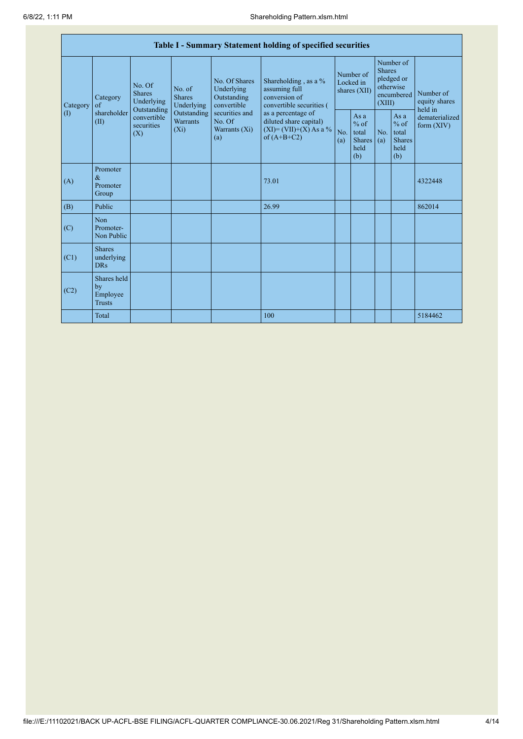|                               | Table I - Summary Statement holding of specified securities                                          |             |                                                                                    |                                                                                                               |                                                                                                                                                                                  |                                        |                                                         |                                                                               |                                                         |                                       |  |  |
|-------------------------------|------------------------------------------------------------------------------------------------------|-------------|------------------------------------------------------------------------------------|---------------------------------------------------------------------------------------------------------------|----------------------------------------------------------------------------------------------------------------------------------------------------------------------------------|----------------------------------------|---------------------------------------------------------|-------------------------------------------------------------------------------|---------------------------------------------------------|---------------------------------------|--|--|
| Category<br>(1)<br>(A)<br>(B) | No. Of<br><b>Shares</b><br>Category<br>of<br>Outstanding<br>shareholder<br>(II)<br>securities<br>(X) | Underlying  | No. of<br><b>Shares</b><br>Underlying<br>Outstanding<br><b>Warrants</b><br>$(X_i)$ | No. Of Shares<br>Underlying<br>Outstanding<br>convertible<br>securities and<br>No. Of<br>Warrants (Xi)<br>(a) | Shareholding, as a %<br>assuming full<br>conversion of<br>convertible securities (<br>as a percentage of<br>diluted share capital)<br>$(XI) = (VII)+(X) As a %$<br>of $(A+B+C2)$ | Number of<br>Locked in<br>shares (XII) |                                                         | Number of<br><b>Shares</b><br>pledged or<br>otherwise<br>encumbered<br>(XIII) |                                                         | Number of<br>equity shares<br>held in |  |  |
|                               |                                                                                                      | convertible |                                                                                    |                                                                                                               |                                                                                                                                                                                  | No.<br>(a)                             | As a<br>$%$ of<br>total<br><b>Shares</b><br>held<br>(b) | N <sub>0</sub><br>(a)                                                         | As a<br>$%$ of<br>total<br><b>Shares</b><br>held<br>(b) | dematerialized<br>form $(XIV)$        |  |  |
|                               | Promoter<br>$\&$<br>Promoter<br>Group                                                                |             |                                                                                    |                                                                                                               | 73.01                                                                                                                                                                            |                                        |                                                         |                                                                               |                                                         | 4322448                               |  |  |
|                               | Public                                                                                               |             |                                                                                    |                                                                                                               | 26.99                                                                                                                                                                            |                                        |                                                         |                                                                               |                                                         | 862014                                |  |  |
| (C)                           | Non<br>Promoter-<br>Non Public                                                                       |             |                                                                                    |                                                                                                               |                                                                                                                                                                                  |                                        |                                                         |                                                                               |                                                         |                                       |  |  |
| (C1)                          | <b>Shares</b><br>underlying<br><b>DRs</b>                                                            |             |                                                                                    |                                                                                                               |                                                                                                                                                                                  |                                        |                                                         |                                                                               |                                                         |                                       |  |  |
| (C2)                          | Shares held<br>by<br>Employee<br><b>Trusts</b>                                                       |             |                                                                                    |                                                                                                               |                                                                                                                                                                                  |                                        |                                                         |                                                                               |                                                         |                                       |  |  |
|                               | Total                                                                                                |             |                                                                                    |                                                                                                               | 100                                                                                                                                                                              |                                        |                                                         |                                                                               |                                                         | 5184462                               |  |  |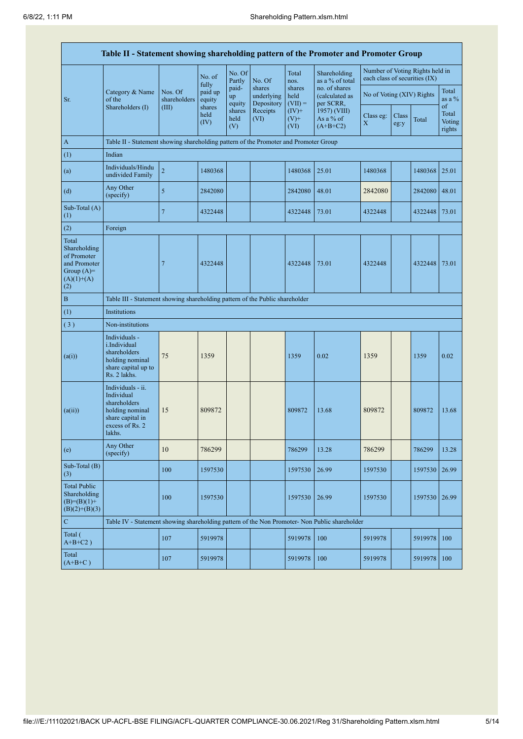|                                                                                             | Table II - Statement showing shareholding pattern of the Promoter and Promoter Group                                |                         |                        |                       |                                    |                             |                                              |                                                                  |               |               |                                 |
|---------------------------------------------------------------------------------------------|---------------------------------------------------------------------------------------------------------------------|-------------------------|------------------------|-----------------------|------------------------------------|-----------------------------|----------------------------------------------|------------------------------------------------------------------|---------------|---------------|---------------------------------|
|                                                                                             |                                                                                                                     |                         | No. of<br>fully        | No. Of<br>Partly      | No. Of                             | Total<br>nos.               | Shareholding<br>as a % of total              | Number of Voting Rights held in<br>each class of securities (IX) |               |               |                                 |
| Sr.                                                                                         | Category & Name<br>of the                                                                                           | Nos. Of<br>shareholders | paid up<br>equity      | paid-<br>up<br>equity | shares<br>underlying<br>Depository | shares<br>held<br>$(VII) =$ | no. of shares<br>(calculated as<br>per SCRR, | No of Voting (XIV) Rights                                        |               |               | Total<br>as a $\%$              |
|                                                                                             | Shareholders (I)                                                                                                    | (III)                   | shares<br>held<br>(IV) | shares<br>held<br>(V) | Receipts<br>(VI)                   | $(IV)$ +<br>$(V)$ +<br>(VI) | 1957) (VIII)<br>As a % of<br>$(A+B+C2)$      | Class eg:<br>X                                                   | Class<br>eg:y | Total         | of<br>Total<br>Voting<br>rights |
| $\mathbf{A}$                                                                                | Table II - Statement showing shareholding pattern of the Promoter and Promoter Group                                |                         |                        |                       |                                    |                             |                                              |                                                                  |               |               |                                 |
| (1)                                                                                         | Indian                                                                                                              |                         |                        |                       |                                    |                             |                                              |                                                                  |               |               |                                 |
| (a)                                                                                         | Individuals/Hindu<br>undivided Family                                                                               | $\overline{c}$          | 1480368                |                       |                                    | 1480368                     | 25.01                                        | 1480368                                                          |               | 1480368       | 25.01                           |
| (d)                                                                                         | Any Other<br>(specify)                                                                                              | 5                       | 2842080                |                       |                                    | 2842080                     | 48.01                                        | 2842080                                                          |               | 2842080       | 48.01                           |
| Sub-Total (A)<br>(1)                                                                        |                                                                                                                     | 7                       | 4322448                |                       |                                    | 4322448                     | 73.01                                        | 4322448                                                          |               | 4322448 73.01 |                                 |
| (2)                                                                                         | Foreign                                                                                                             |                         |                        |                       |                                    |                             |                                              |                                                                  |               |               |                                 |
| Total<br>Shareholding<br>of Promoter<br>and Promoter<br>Group $(A)=$<br>$(A)(1)+(A)$<br>(2) |                                                                                                                     | 7                       | 4322448                |                       |                                    | 4322448                     | 73.01                                        | 4322448                                                          |               | 4322448       | 73.01                           |
| $\, {\bf B}$                                                                                | Table III - Statement showing shareholding pattern of the Public shareholder                                        |                         |                        |                       |                                    |                             |                                              |                                                                  |               |               |                                 |
| (1)                                                                                         | Institutions                                                                                                        |                         |                        |                       |                                    |                             |                                              |                                                                  |               |               |                                 |
| (3)                                                                                         | Non-institutions                                                                                                    |                         |                        |                       |                                    |                             |                                              |                                                                  |               |               |                                 |
| (a(i))                                                                                      | Individuals -<br><i>i.Individual</i><br>shareholders<br>holding nominal<br>share capital up to<br>Rs. 2 lakhs.      | 75                      | 1359                   |                       |                                    | 1359                        | 0.02                                         | 1359                                                             |               | 1359          | 0.02                            |
| (a(ii))                                                                                     | Individuals - ii.<br>Individual<br>shareholders<br>holding nominal<br>share capital in<br>excess of Rs. 2<br>lakhs. | 15                      | 809872                 |                       |                                    | 809872                      | 13.68                                        | 809872                                                           |               | 809872        | 13.68                           |
| (e)                                                                                         | Any Other<br>(specify)                                                                                              | $10\,$                  | 786299                 |                       |                                    | 786299                      | 13.28                                        | 786299                                                           |               | 786299        | 13.28                           |
| Sub-Total (B)<br>(3)                                                                        |                                                                                                                     | 100                     | 1597530                |                       |                                    | 1597530                     | 26.99                                        | 1597530                                                          |               | 1597530       | 26.99                           |
| <b>Total Public</b><br>Shareholding<br>$(B)=(B)(1)+$<br>$(B)(2)+(B)(3)$                     |                                                                                                                     | 100                     | 1597530                |                       |                                    | 1597530                     | 26.99                                        | 1597530                                                          |               | 1597530       | 26.99                           |
| ${\bf C}$                                                                                   | Table IV - Statement showing shareholding pattern of the Non Promoter- Non Public shareholder                       |                         |                        |                       |                                    |                             |                                              |                                                                  |               |               |                                 |
| Total (<br>$A+B+C2$ )                                                                       |                                                                                                                     | 107                     | 5919978                |                       |                                    | 5919978                     | 100                                          | 5919978                                                          |               | 5919978       | 100                             |
| Total<br>$(A+B+C)$                                                                          |                                                                                                                     | 107                     | 5919978                |                       |                                    | 5919978                     | 100                                          | 5919978                                                          |               | 5919978       | 100                             |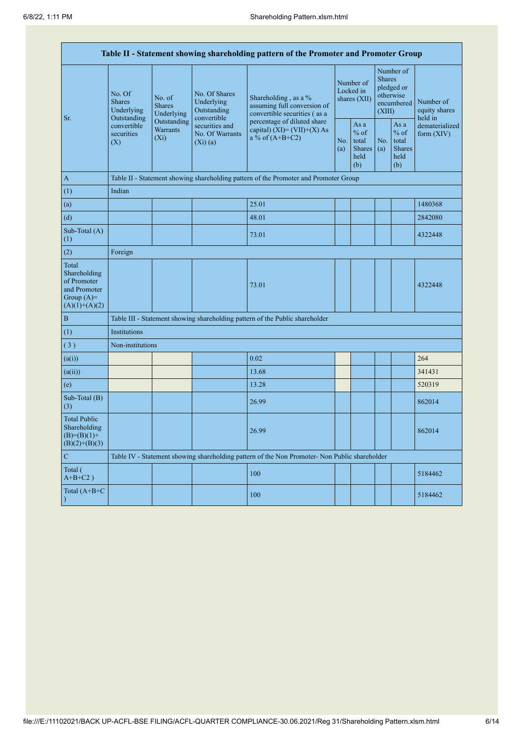| Table II - Statement showing shareholding pattern of the Promoter and Promoter Group    |                                                      |                                                                                           |                                                                                    |                                                                                               |                                                         |                                        |                                                                               |                                |                                       |  |
|-----------------------------------------------------------------------------------------|------------------------------------------------------|-------------------------------------------------------------------------------------------|------------------------------------------------------------------------------------|-----------------------------------------------------------------------------------------------|---------------------------------------------------------|----------------------------------------|-------------------------------------------------------------------------------|--------------------------------|---------------------------------------|--|
| Sr.                                                                                     | No. Of<br><b>Shares</b><br>Underlying<br>Outstanding | No. of<br><b>Shares</b><br>Underlying                                                     | No. Of Shares<br>Underlying<br>Outstanding<br>convertible                          | Shareholding, as a $%$<br>assuming full conversion of<br>convertible securities (as a         |                                                         | Number of<br>Locked in<br>shares (XII) | Number of<br><b>Shares</b><br>pledged or<br>otherwise<br>encumbered<br>(XIII) |                                | Number of<br>equity shares<br>held in |  |
|                                                                                         | convertible<br>securities<br>(X)                     | Outstanding<br>securities and<br><b>Warrants</b><br>No. Of Warrants<br>$(X_i)$<br>(Xi)(a) | percentage of diluted share<br>capital) $(XI) = (VII)+(X) As$<br>a % of $(A+B+C2)$ | No.<br>(a)                                                                                    | As a<br>$%$ of<br>total<br><b>Shares</b><br>held<br>(b) | No.<br>(a)                             | As a<br>$%$ of<br>total<br><b>Shares</b><br>held<br>(b)                       | dematerialized<br>form $(XIV)$ |                                       |  |
| $\overline{A}$                                                                          |                                                      |                                                                                           |                                                                                    | Table II - Statement showing shareholding pattern of the Promoter and Promoter Group          |                                                         |                                        |                                                                               |                                |                                       |  |
| (1)                                                                                     | Indian                                               |                                                                                           |                                                                                    |                                                                                               |                                                         |                                        |                                                                               |                                |                                       |  |
| (a)                                                                                     |                                                      |                                                                                           |                                                                                    | 25.01                                                                                         |                                                         |                                        |                                                                               |                                | 1480368                               |  |
| (d)                                                                                     |                                                      |                                                                                           |                                                                                    | 48.01                                                                                         |                                                         |                                        |                                                                               |                                | 2842080                               |  |
| Sub-Total (A)<br>(1)                                                                    |                                                      |                                                                                           |                                                                                    | 73.01                                                                                         |                                                         |                                        |                                                                               |                                | 4322448                               |  |
| (2)                                                                                     | Foreign                                              |                                                                                           |                                                                                    |                                                                                               |                                                         |                                        |                                                                               |                                |                                       |  |
| Total<br>Shareholding<br>of Promoter<br>and Promoter<br>Group $(A)=$<br>$(A)(1)+(A)(2)$ |                                                      |                                                                                           |                                                                                    | 73.01                                                                                         |                                                         |                                        |                                                                               |                                | 4322448                               |  |
| $\overline{B}$                                                                          |                                                      |                                                                                           |                                                                                    | Table III - Statement showing shareholding pattern of the Public shareholder                  |                                                         |                                        |                                                                               |                                |                                       |  |
| (1)                                                                                     | Institutions                                         |                                                                                           |                                                                                    |                                                                                               |                                                         |                                        |                                                                               |                                |                                       |  |
| (3)                                                                                     | Non-institutions                                     |                                                                                           |                                                                                    |                                                                                               |                                                         |                                        |                                                                               |                                |                                       |  |
| (a(i))                                                                                  |                                                      |                                                                                           |                                                                                    | 0.02                                                                                          |                                                         |                                        |                                                                               |                                | 264                                   |  |
| (a(ii))                                                                                 |                                                      |                                                                                           |                                                                                    | 13.68                                                                                         |                                                         |                                        |                                                                               |                                | 341431                                |  |
| (e)                                                                                     |                                                      |                                                                                           |                                                                                    | 13.28                                                                                         |                                                         |                                        |                                                                               |                                | 520319                                |  |
| Sub-Total (B)<br>(3)                                                                    |                                                      |                                                                                           |                                                                                    | 26.99                                                                                         |                                                         |                                        |                                                                               |                                | 862014                                |  |
| <b>Total Public</b><br>Shareholding<br>$(B)= (B)(1) +$<br>$(B)(2)+(B)(3)$               |                                                      |                                                                                           |                                                                                    | 26.99                                                                                         |                                                         |                                        |                                                                               |                                | 862014                                |  |
| $\mathcal{C}$                                                                           |                                                      |                                                                                           |                                                                                    | Table IV - Statement showing shareholding pattern of the Non Promoter- Non Public shareholder |                                                         |                                        |                                                                               |                                |                                       |  |
| Total (<br>$A+B+C2$ )                                                                   |                                                      |                                                                                           |                                                                                    | 100                                                                                           |                                                         |                                        |                                                                               |                                | 5184462                               |  |
| Total $(A+B+C)$<br>$\big)$                                                              |                                                      |                                                                                           |                                                                                    | 100                                                                                           |                                                         |                                        |                                                                               |                                | 5184462                               |  |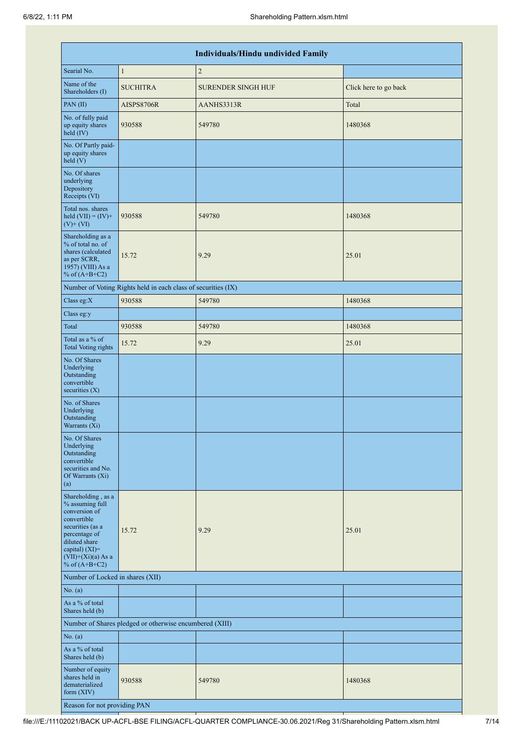|                                                                                                                                                                                            |                                                               | Individuals/Hindu undivided Family |                       |
|--------------------------------------------------------------------------------------------------------------------------------------------------------------------------------------------|---------------------------------------------------------------|------------------------------------|-----------------------|
| Searial No.                                                                                                                                                                                | $\mathbf{1}$                                                  | $\overline{2}$                     |                       |
| Name of the<br>Shareholders (I)                                                                                                                                                            | <b>SUCHITRA</b>                                               | <b>SURENDER SINGH HUF</b>          | Click here to go back |
| PAN(II)                                                                                                                                                                                    | AISPS8706R                                                    | AANHS3313R                         | Total                 |
| No. of fully paid<br>up equity shares<br>held (IV)                                                                                                                                         | 930588                                                        | 549780                             | 1480368               |
| No. Of Partly paid-<br>up equity shares<br>held(V)                                                                                                                                         |                                                               |                                    |                       |
| No. Of shares<br>underlying<br>Depository<br>Receipts (VI)                                                                                                                                 |                                                               |                                    |                       |
| Total nos. shares<br>held $(VII) = (IV) +$<br>$(V)$ + $(VI)$                                                                                                                               | 930588                                                        | 549780                             | 1480368               |
| Shareholding as a<br>% of total no. of<br>shares (calculated<br>as per SCRR,<br>1957) (VIII) As a<br>% of $(A+B+C2)$                                                                       | 15.72                                                         | 9.29                               | 25.01                 |
|                                                                                                                                                                                            | Number of Voting Rights held in each class of securities (IX) |                                    |                       |
| Class eg:X                                                                                                                                                                                 | 930588                                                        | 549780                             | 1480368               |
| Class eg:y                                                                                                                                                                                 |                                                               |                                    |                       |
| Total                                                                                                                                                                                      | 930588                                                        | 549780                             | 1480368               |
| Total as a % of<br><b>Total Voting rights</b>                                                                                                                                              | 15.72                                                         | 9.29                               | 25.01                 |
| No. Of Shares<br>Underlying<br>Outstanding<br>convertible<br>securities $(X)$                                                                                                              |                                                               |                                    |                       |
| No. of Shares<br>Underlying<br>Outstanding<br>Warrants (Xi)                                                                                                                                |                                                               |                                    |                       |
| No. Of Shares<br>Underlying<br>Outstanding<br>convertible<br>securities and No.<br>Of Warrants (Xi)<br>(a)                                                                                 |                                                               |                                    |                       |
| Shareholding, as a<br>% assuming full<br>conversion of<br>convertible<br>securities (as a<br>percentage of<br>diluted share<br>capital) $(XI)=$<br>$(VII)+(Xi)(a)$ As a<br>% of $(A+B+C2)$ | 15.72                                                         | 9.29                               | 25.01                 |
| Number of Locked in shares (XII)                                                                                                                                                           |                                                               |                                    |                       |
| No. (a)                                                                                                                                                                                    |                                                               |                                    |                       |
| As a % of total<br>Shares held (b)                                                                                                                                                         |                                                               |                                    |                       |
|                                                                                                                                                                                            | Number of Shares pledged or otherwise encumbered (XIII)       |                                    |                       |
| No. (a)                                                                                                                                                                                    |                                                               |                                    |                       |
| As a % of total<br>Shares held (b)                                                                                                                                                         |                                                               |                                    |                       |
| Number of equity<br>shares held in<br>dematerialized<br>form $(XIV)$                                                                                                                       | 930588                                                        | 549780                             | 1480368               |
| Reason for not providing PAN                                                                                                                                                               |                                                               |                                    |                       |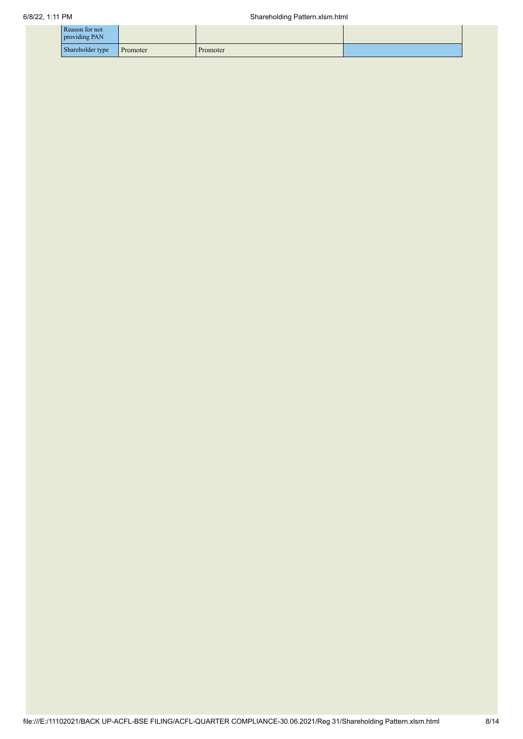| Reason for not<br>providing PAN |          |          |  |
|---------------------------------|----------|----------|--|
| Shareholder type                | Promoter | Promoter |  |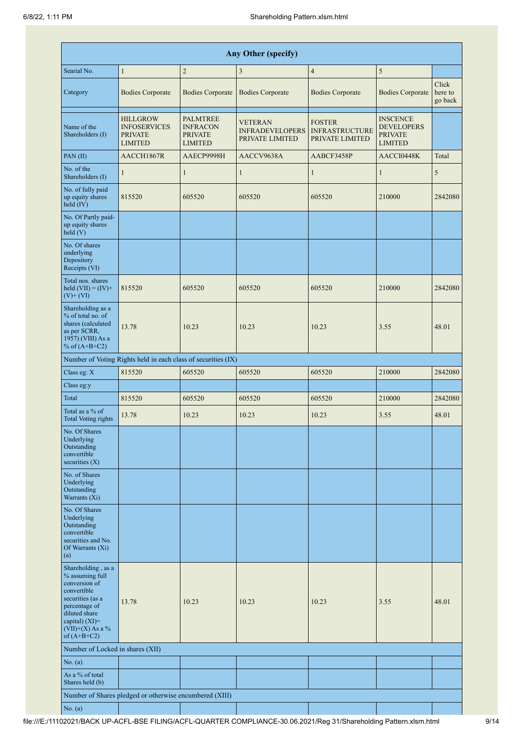|                                                                                                                                                                                      | <b>Any Other (specify)</b>                                                 |                                                                 |                                                             |                                                           |                                                                          |                             |  |  |  |  |  |  |
|--------------------------------------------------------------------------------------------------------------------------------------------------------------------------------------|----------------------------------------------------------------------------|-----------------------------------------------------------------|-------------------------------------------------------------|-----------------------------------------------------------|--------------------------------------------------------------------------|-----------------------------|--|--|--|--|--|--|
| Searial No.                                                                                                                                                                          | $\mathbf{1}$                                                               | $\overline{c}$                                                  | $\mathfrak{Z}$                                              | $\overline{4}$                                            | $\sqrt{5}$                                                               |                             |  |  |  |  |  |  |
| Category                                                                                                                                                                             | <b>Bodies Corporate</b>                                                    | <b>Bodies Corporate</b>                                         | <b>Bodies Corporate</b>                                     | <b>Bodies Corporate</b>                                   | <b>Bodies Corporate</b>                                                  | Click<br>here to<br>go back |  |  |  |  |  |  |
| Name of the<br>Shareholders (I)                                                                                                                                                      | <b>HILLGROW</b><br><b>INFOSERVICES</b><br><b>PRIVATE</b><br><b>LIMITED</b> | PALMTREE<br><b>INFRACON</b><br><b>PRIVATE</b><br><b>LIMITED</b> | <b>VETERAN</b><br><b>INFRADEVELOPERS</b><br>PRIVATE LIMITED | <b>FOSTER</b><br><b>INFRASTRUCTURE</b><br>PRIVATE LIMITED | <b>INSCENCE</b><br><b>DEVELOPERS</b><br><b>PRIVATE</b><br><b>LIMITED</b> |                             |  |  |  |  |  |  |
| PAN(II)                                                                                                                                                                              | AACCH1867R                                                                 | AAECP9998H                                                      | AACCV9638A                                                  | AABCF3458P                                                | AACCI0448K                                                               | Total                       |  |  |  |  |  |  |
| No. of the<br>Shareholders (I)                                                                                                                                                       | $\mathbf{1}$                                                               | $\mathbf{1}$                                                    | $\mathbf{1}$                                                | $\mathbf{1}$                                              | $\mathbf{1}$                                                             | 5                           |  |  |  |  |  |  |
| No. of fully paid<br>up equity shares<br>$held$ (IV)                                                                                                                                 | 815520                                                                     | 605520                                                          | 605520                                                      | 605520                                                    | 210000                                                                   | 2842080                     |  |  |  |  |  |  |
| No. Of Partly paid-<br>up equity shares<br>held(V)                                                                                                                                   |                                                                            |                                                                 |                                                             |                                                           |                                                                          |                             |  |  |  |  |  |  |
| No. Of shares<br>underlying<br>Depository<br>Receipts (VI)                                                                                                                           |                                                                            |                                                                 |                                                             |                                                           |                                                                          |                             |  |  |  |  |  |  |
| Total nos. shares<br>held $(VII) = (IV) +$<br>$(V)$ + $(VI)$                                                                                                                         | 815520                                                                     | 605520                                                          | 605520                                                      | 605520                                                    | 210000                                                                   | 2842080                     |  |  |  |  |  |  |
| Shareholding as a<br>% of total no. of<br>shares (calculated<br>as per SCRR,<br>1957) (VIII) As a<br>% of $(A+B+C2)$                                                                 | 13.78                                                                      | 10.23                                                           | 10.23                                                       | 10.23                                                     | 3.55                                                                     | 48.01                       |  |  |  |  |  |  |
|                                                                                                                                                                                      | Number of Voting Rights held in each class of securities (IX)              |                                                                 |                                                             |                                                           |                                                                          |                             |  |  |  |  |  |  |
| Class eg: X                                                                                                                                                                          | 815520                                                                     | 605520                                                          | 605520                                                      | 605520                                                    | 210000                                                                   | 2842080                     |  |  |  |  |  |  |
| Class eg:y                                                                                                                                                                           |                                                                            |                                                                 |                                                             |                                                           |                                                                          |                             |  |  |  |  |  |  |
| Total                                                                                                                                                                                | 815520                                                                     | 605520                                                          | 605520                                                      | 605520                                                    | 210000                                                                   | 2842080                     |  |  |  |  |  |  |
| Total as a % of<br>Total Voting rights                                                                                                                                               | 13.78                                                                      | 10.23                                                           | 10.23                                                       | 10.23                                                     | 3.55                                                                     | 48.01                       |  |  |  |  |  |  |
| No. Of Shares<br>Underlying<br>Outstanding<br>convertible<br>securities $(X)$                                                                                                        |                                                                            |                                                                 |                                                             |                                                           |                                                                          |                             |  |  |  |  |  |  |
| No. of Shares<br>Underlying<br>Outstanding<br>Warrants (Xi)                                                                                                                          |                                                                            |                                                                 |                                                             |                                                           |                                                                          |                             |  |  |  |  |  |  |
| No. Of Shares<br>Underlying<br>Outstanding<br>convertible<br>securities and No.<br>Of Warrants (Xi)<br>(a)                                                                           |                                                                            |                                                                 |                                                             |                                                           |                                                                          |                             |  |  |  |  |  |  |
| Shareholding, as a<br>% assuming full<br>conversion of<br>convertible<br>securities (as a<br>percentage of<br>diluted share<br>capital) (XI)=<br>$(VII)+(X)$ As a %<br>of $(A+B+C2)$ | 13.78                                                                      | 10.23                                                           | 10.23                                                       | 10.23                                                     | 3.55                                                                     | 48.01                       |  |  |  |  |  |  |
| Number of Locked in shares (XII)                                                                                                                                                     |                                                                            |                                                                 |                                                             |                                                           |                                                                          |                             |  |  |  |  |  |  |
| No. (a)                                                                                                                                                                              |                                                                            |                                                                 |                                                             |                                                           |                                                                          |                             |  |  |  |  |  |  |
| As a % of total<br>Shares held (b)                                                                                                                                                   |                                                                            |                                                                 |                                                             |                                                           |                                                                          |                             |  |  |  |  |  |  |
|                                                                                                                                                                                      | Number of Shares pledged or otherwise encumbered (XIII)                    |                                                                 |                                                             |                                                           |                                                                          |                             |  |  |  |  |  |  |
| No. (a)                                                                                                                                                                              |                                                                            |                                                                 |                                                             |                                                           |                                                                          |                             |  |  |  |  |  |  |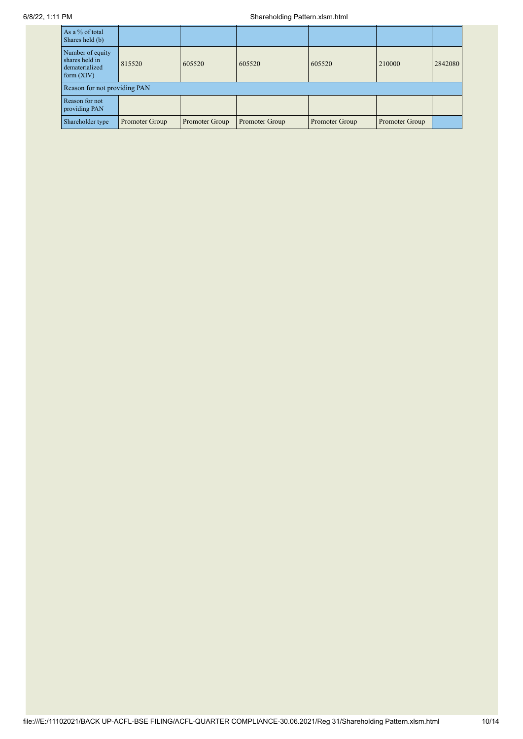| As a % of total<br>Shares held (b)                                   |                              |                |                |                |                |         |  |  |  |  |
|----------------------------------------------------------------------|------------------------------|----------------|----------------|----------------|----------------|---------|--|--|--|--|
| Number of equity<br>shares held in<br>dematerialized<br>form $(XIV)$ | 815520                       | 605520         | 605520         | 605520         | 210000         | 2842080 |  |  |  |  |
|                                                                      | Reason for not providing PAN |                |                |                |                |         |  |  |  |  |
| Reason for not<br>providing PAN                                      |                              |                |                |                |                |         |  |  |  |  |
| Shareholder type                                                     | Promoter Group               | Promoter Group | Promoter Group | Promoter Group | Promoter Group |         |  |  |  |  |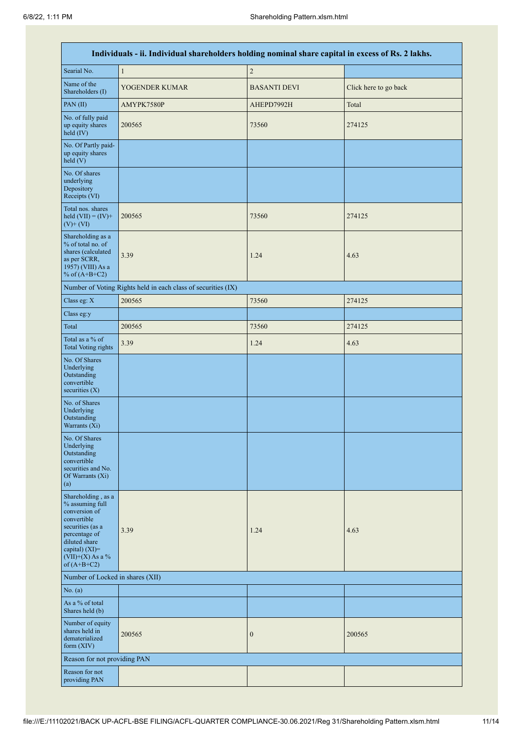|                                                                                                                                                                                      | Individuals - ii. Individual shareholders holding nominal share capital in excess of Rs. 2 lakhs. |                     |                       |
|--------------------------------------------------------------------------------------------------------------------------------------------------------------------------------------|---------------------------------------------------------------------------------------------------|---------------------|-----------------------|
| Searial No.                                                                                                                                                                          | $\mathbf{1}$                                                                                      | $\sqrt{2}$          |                       |
| Name of the<br>Shareholders (I)                                                                                                                                                      | YOGENDER KUMAR                                                                                    | <b>BASANTI DEVI</b> | Click here to go back |
| PAN(II)                                                                                                                                                                              | AMYPK7580P                                                                                        | AHEPD7992H          | Total                 |
| No. of fully paid<br>up equity shares<br>held (IV)                                                                                                                                   | 200565                                                                                            | 73560               | 274125                |
| No. Of Partly paid-<br>up equity shares<br>held (V)                                                                                                                                  |                                                                                                   |                     |                       |
| No. Of shares<br>underlying<br>Depository<br>Receipts (VI)                                                                                                                           |                                                                                                   |                     |                       |
| Total nos. shares<br>held $(VII) = (IV) +$<br>$(V)$ + $(VI)$                                                                                                                         | 200565                                                                                            | 73560               | 274125                |
| Shareholding as a<br>% of total no. of<br>shares (calculated<br>as per SCRR,<br>1957) (VIII) As a<br>% of $(A+B+C2)$                                                                 | 3.39                                                                                              | 1.24                | 4.63                  |
|                                                                                                                                                                                      | Number of Voting Rights held in each class of securities (IX)                                     |                     |                       |
| Class eg: $\mathbf X$                                                                                                                                                                | 200565                                                                                            | 73560               | 274125                |
| Class eg:y                                                                                                                                                                           |                                                                                                   |                     |                       |
| Total                                                                                                                                                                                | 200565                                                                                            | 73560               | 274125                |
| Total as a % of<br><b>Total Voting rights</b>                                                                                                                                        | 3.39                                                                                              | 1.24                | 4.63                  |
| No. Of Shares<br>Underlying<br>Outstanding<br>convertible<br>securities $(X)$                                                                                                        |                                                                                                   |                     |                       |
| No. of Shares<br>Underlying<br>Outstanding<br>Warrants (Xi)                                                                                                                          |                                                                                                   |                     |                       |
| No. Of Shares<br>Underlying<br>Outstanding<br>convertible<br>securities and No.<br>Of Warrants (Xi)<br>(a)                                                                           |                                                                                                   |                     |                       |
| Shareholding, as a<br>% assuming full<br>conversion of<br>convertible<br>securities (as a<br>percentage of<br>diluted share<br>capital) (XI)=<br>$(VII)+(X)$ As a %<br>of $(A+B+C2)$ | 3.39                                                                                              | 1.24                | 4.63                  |
| Number of Locked in shares (XII)                                                                                                                                                     |                                                                                                   |                     |                       |
| No. (a)                                                                                                                                                                              |                                                                                                   |                     |                       |
| As a % of total<br>Shares held (b)                                                                                                                                                   |                                                                                                   |                     |                       |
| Number of equity<br>shares held in<br>dematerialized<br>form (XIV)                                                                                                                   | 200565                                                                                            | $\boldsymbol{0}$    | 200565                |
| Reason for not providing PAN                                                                                                                                                         |                                                                                                   |                     |                       |
| Reason for not<br>providing PAN                                                                                                                                                      |                                                                                                   |                     |                       |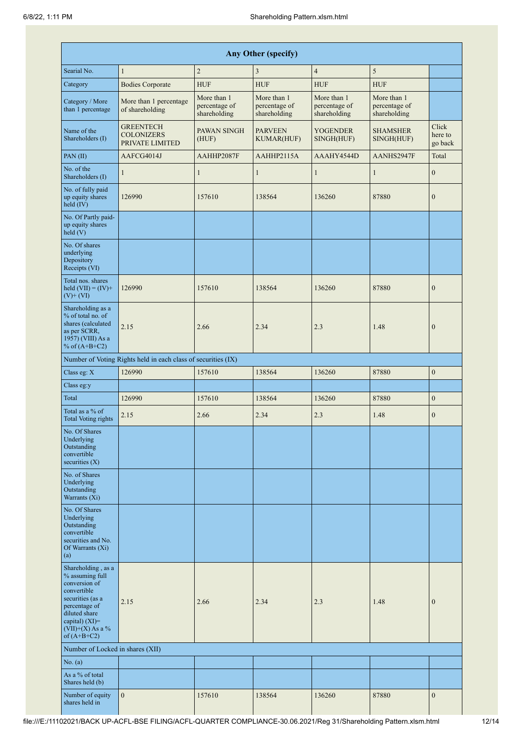|                                                                                                                                                                                         |                                                               |                                              | <b>Any Other (specify)</b>                   |                                              |                                              |                             |
|-----------------------------------------------------------------------------------------------------------------------------------------------------------------------------------------|---------------------------------------------------------------|----------------------------------------------|----------------------------------------------|----------------------------------------------|----------------------------------------------|-----------------------------|
| Searial No.                                                                                                                                                                             | $\mathbf{1}$                                                  | $\sqrt{2}$                                   | 3                                            | $\overline{4}$                               | 5                                            |                             |
| Category                                                                                                                                                                                | <b>Bodies Corporate</b>                                       | <b>HUF</b>                                   | <b>HUF</b>                                   | <b>HUF</b>                                   | <b>HUF</b>                                   |                             |
| Category / More<br>than 1 percentage                                                                                                                                                    | More than 1 percentage<br>of shareholding                     | More than 1<br>percentage of<br>shareholding | More than 1<br>percentage of<br>shareholding | More than 1<br>percentage of<br>shareholding | More than 1<br>percentage of<br>shareholding |                             |
| Name of the<br>Shareholders (I)                                                                                                                                                         | <b>GREENTECH</b><br><b>COLONIZERS</b><br>PRIVATE LIMITED      | PAWAN SINGH<br>(HUF)                         | <b>PARVEEN</b><br><b>KUMAR(HUF)</b>          | <b>YOGENDER</b><br>SINGH(HUF)                | <b>SHAMSHER</b><br>SINGH(HUF)                | Click<br>here to<br>go back |
| PAN(II)                                                                                                                                                                                 | AAFCG4014J                                                    | AAHHP2087F                                   | AAHHP2115A                                   | AAAHY4544D                                   | AANHS2947F                                   | Total                       |
| No. of the<br>Shareholders (I)                                                                                                                                                          | $\mathbf{1}$                                                  | $\mathbf{1}$                                 | $\mathbf{1}$                                 | $\mathbf{1}$                                 | $\mathbf{1}$                                 | $\boldsymbol{0}$            |
| No. of fully paid<br>up equity shares<br>held $(IV)$                                                                                                                                    | 126990                                                        | 157610                                       | 138564                                       | 136260                                       | 87880                                        | $\boldsymbol{0}$            |
| No. Of Partly paid-<br>up equity shares<br>held (V)                                                                                                                                     |                                                               |                                              |                                              |                                              |                                              |                             |
| No. Of shares<br>underlying<br>Depository<br>Receipts (VI)                                                                                                                              |                                                               |                                              |                                              |                                              |                                              |                             |
| Total nos. shares<br>held $(VII) = (IV) +$<br>$(V)$ + $(VI)$                                                                                                                            | 126990                                                        | 157610                                       | 138564                                       | 136260                                       | 87880                                        | $\overline{0}$              |
| Shareholding as a<br>% of total no. of<br>shares (calculated<br>as per SCRR,<br>1957) (VIII) As a<br>% of $(A+B+C2)$                                                                    | 2.15                                                          | 2.66                                         | 2.34                                         | 2.3                                          | 1.48                                         | $\overline{0}$              |
|                                                                                                                                                                                         | Number of Voting Rights held in each class of securities (IX) |                                              |                                              |                                              |                                              |                             |
| Class eg: X                                                                                                                                                                             | 126990                                                        | 157610                                       | 138564                                       | 136260                                       | 87880                                        | $\boldsymbol{0}$            |
| Class eg:y                                                                                                                                                                              |                                                               |                                              |                                              |                                              |                                              |                             |
| Total                                                                                                                                                                                   | 126990                                                        | 157610                                       | 138564                                       | 136260                                       | 87880                                        | $\overline{0}$              |
| Total as a % of<br><b>Total Voting rights</b>                                                                                                                                           | 2.15                                                          | 2.66                                         | 2.34                                         | 2.3                                          | 1.48                                         | $\overline{0}$              |
| No. Of Shares<br>Underlying<br>Outstanding<br>convertible<br>securities $(X)$                                                                                                           |                                                               |                                              |                                              |                                              |                                              |                             |
| No. of Shares<br>Underlying<br>Outstanding<br>Warrants (Xi)                                                                                                                             |                                                               |                                              |                                              |                                              |                                              |                             |
| No. Of Shares<br>Underlying<br>Outstanding<br>convertible<br>securities and No.<br>Of Warrants (Xi)<br>(a)                                                                              |                                                               |                                              |                                              |                                              |                                              |                             |
| Shareholding, as a<br>% assuming full<br>conversion of<br>convertible<br>securities (as a<br>percentage of<br>diluted share<br>capital) $(XI)$ =<br>$(VII)+(X)$ As a %<br>of $(A+B+C2)$ | 2.15                                                          | 2.66                                         | 2.34                                         | 2.3                                          | 1.48                                         | $\boldsymbol{0}$            |
| Number of Locked in shares (XII)                                                                                                                                                        |                                                               |                                              |                                              |                                              |                                              |                             |
| No. (a)                                                                                                                                                                                 |                                                               |                                              |                                              |                                              |                                              |                             |
| As a % of total<br>Shares held (b)                                                                                                                                                      |                                                               |                                              |                                              |                                              |                                              |                             |
| Number of equity<br>shares held in                                                                                                                                                      | $\mathbf{0}$                                                  | 157610                                       | 138564                                       | 136260                                       | 87880                                        | $\boldsymbol{0}$            |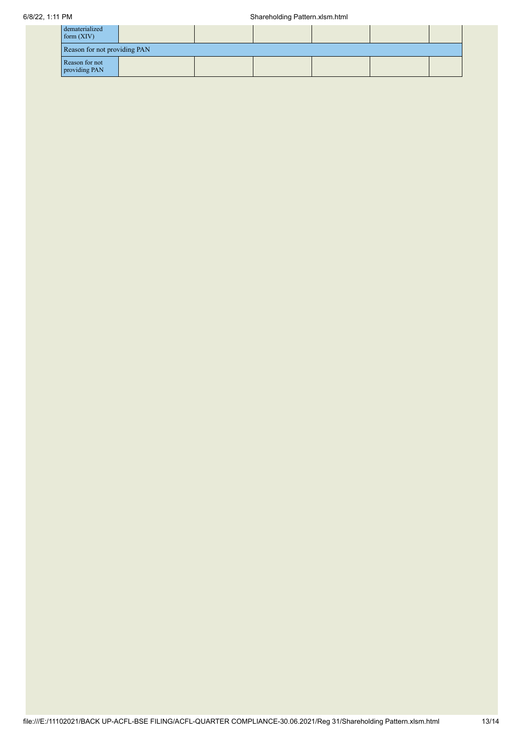| dematerialized<br>form $(XIV)$  |  |  |  |  |  |  |
|---------------------------------|--|--|--|--|--|--|
| Reason for not providing PAN    |  |  |  |  |  |  |
| Reason for not<br>providing PAN |  |  |  |  |  |  |